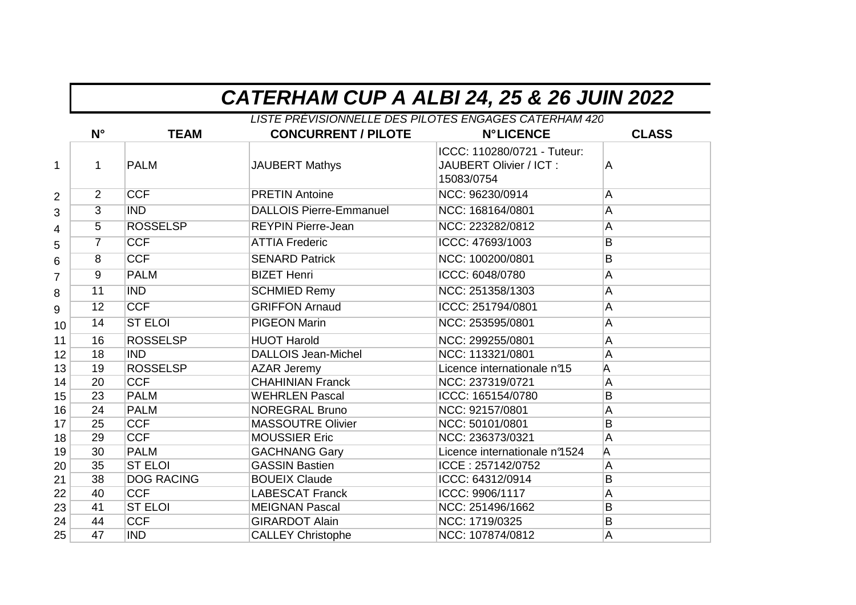|                |                 |                   | CATERHAM CUP A ALBI 24, 25 & 26 JUIN 2022                                           |                                                                      |                         |
|----------------|-----------------|-------------------|-------------------------------------------------------------------------------------|----------------------------------------------------------------------|-------------------------|
|                | $N^{\circ}$     | <b>TEAM</b>       | LISTE PRÉVISIONNELLE DES PILOTES ENGAGES CATERHAM 420<br><b>CONCURRENT / PILOTE</b> | <b>N°LICENCE</b>                                                     | <b>CLASS</b>            |
| $\mathbf{1}$   | 1               | <b>PALM</b>       | <b>JAUBERT Mathys</b>                                                               | ICCC: 110280/0721 - Tuteur:<br>JAUBERT Olivier / ICT :<br>15083/0754 | A                       |
| $\overline{2}$ | $\overline{2}$  | <b>CCF</b>        | <b>PRETIN Antoine</b>                                                               | NCC: 96230/0914                                                      | A                       |
| 3              | $\overline{3}$  | <b>IND</b>        | <b>DALLOIS Pierre-Emmanuel</b>                                                      | NCC: 168164/0801                                                     | $\overline{\mathsf{A}}$ |
| 4              | $\overline{5}$  | <b>ROSSELSP</b>   | <b>REYPIN Pierre-Jean</b>                                                           | NCC: 223282/0812                                                     | $\overline{\mathsf{A}}$ |
| 5              | $\overline{7}$  | <b>CCF</b>        | <b>ATTIA Frederic</b>                                                               | ICCC: 47693/1003                                                     | $\overline{B}$          |
| 6              | $\overline{8}$  | <b>CCF</b>        | <b>SENARD Patrick</b>                                                               | NCC: 100200/0801                                                     | $\overline{B}$          |
| $\overline{7}$ | $\overline{9}$  | <b>PALM</b>       | <b>BIZET Henri</b>                                                                  | ICCC: 6048/0780                                                      | A                       |
| 8              | 11              | <b>IND</b>        | <b>SCHMIED Remy</b>                                                                 | NCC: 251358/1303                                                     | A                       |
| 9              | $\overline{12}$ | <b>CCF</b>        | <b>GRIFFON Arnaud</b>                                                               | ICCC: 251794/0801                                                    | $\overline{\mathsf{A}}$ |
| 10             | 14              | <b>ST ELOI</b>    | <b>PIGEON Marin</b>                                                                 | NCC: 253595/0801                                                     | $\overline{\mathsf{A}}$ |
| 11             | 16              | <b>ROSSELSP</b>   | <b>HUOT Harold</b>                                                                  | NCC: 299255/0801                                                     | A                       |
| 12             | 18              | <b>IND</b>        | <b>DALLOIS Jean-Michel</b>                                                          | NCC: 113321/0801                                                     | A                       |
| 13             | 19              | <b>ROSSELSP</b>   | <b>AZAR Jeremy</b>                                                                  | Licence internationale n95                                           | A                       |
| 14             | 20              | <b>CCF</b>        | <b>CHAHINIAN Franck</b>                                                             | NCC: 237319/0721                                                     | A                       |
| 15             | 23              | <b>PALM</b>       | <b>WEHRLEN Pascal</b>                                                               | ICCC: 165154/0780                                                    | B                       |
| 16             | 24              | <b>PALM</b>       | <b>NOREGRAL Bruno</b>                                                               | NCC: 92157/0801                                                      | A                       |
| 17             | 25              | <b>CCF</b>        | <b>MASSOUTRE Olivier</b>                                                            | NCC: 50101/0801                                                      | B                       |
| 18             | 29              | <b>CCF</b>        | <b>MOUSSIER Eric</b>                                                                | NCC: 236373/0321                                                     | Α                       |
| 19             | 30              | <b>PALM</b>       | <b>GACHNANG Gary</b>                                                                | Licence internationale n9524                                         | A                       |
| 20             | 35              | <b>ST ELOI</b>    | <b>GASSIN Bastien</b>                                                               | ICCE: 257142/0752                                                    | A                       |
| 21             | 38              | <b>DOG RACING</b> | <b>BOUEIX Claude</b>                                                                | ICCC: 64312/0914                                                     | B                       |
| 22             | 40              | <b>CCF</b>        | <b>LABESCAT Franck</b>                                                              | ICCC: 9906/1117                                                      | А                       |
| 23             | 41              | <b>ST ELOI</b>    | <b>MEIGNAN Pascal</b>                                                               | NCC: 251496/1662                                                     | B                       |
| 24             | 44              | <b>CCF</b>        | <b>GIRARDOT Alain</b>                                                               | NCC: 1719/0325                                                       | B                       |
| 25             | 47              | <b>IND</b>        | <b>CALLEY Christophe</b>                                                            | NCC: 107874/0812                                                     | A                       |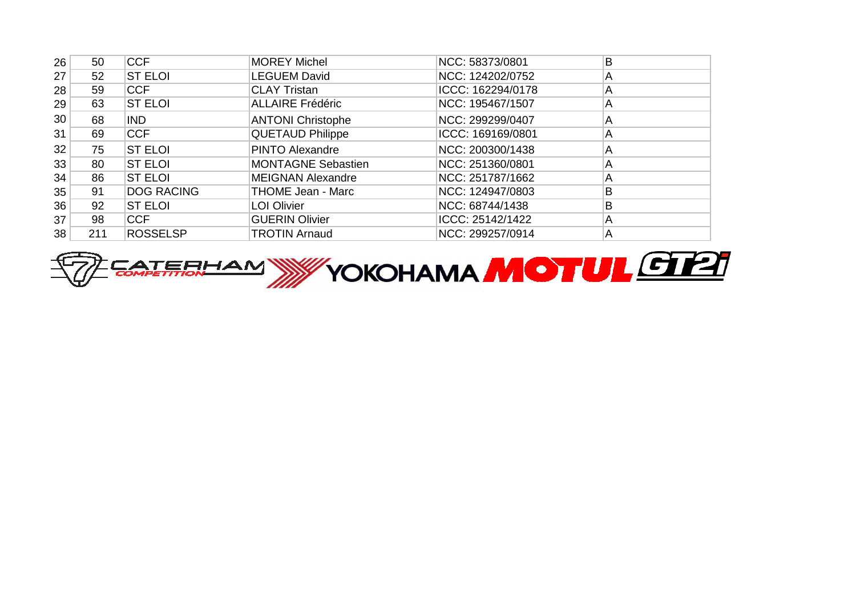| 26 | 50  | <b>CCF</b>        | <b>MOREY Michel</b>       | NCC: 58373/0801   | B |
|----|-----|-------------------|---------------------------|-------------------|---|
| 27 | 52  | <b>ST ELOI</b>    | <b>LEGUEM David</b>       | NCC: 124202/0752  | А |
| 28 | 59  | <b>CCF</b>        | <b>CLAY Tristan</b>       | ICCC: 162294/0178 | A |
| 29 | 63  | <b>ST ELOI</b>    | <b>ALLAIRE Frédéric</b>   | NCC: 195467/1507  | A |
| 30 | 68  | IND.              | <b>ANTONI Christophe</b>  | NCC: 299299/0407  | A |
| 31 | 69  | <b>CCF</b>        | <b>QUETAUD Philippe</b>   | ICCC: 169169/0801 | A |
| 32 | 75  | <b>ST ELOI</b>    | <b>PINTO Alexandre</b>    | NCC: 200300/1438  | A |
| 33 | 80  | <b>ST ELOI</b>    | <b>MONTAGNE Sebastien</b> | NCC: 251360/0801  | A |
| 34 | 86  | <b>ST ELOI</b>    | <b>MEIGNAN Alexandre</b>  | NCC: 251787/1662  | A |
| 35 | 91  | <b>DOG RACING</b> | <b>THOME Jean - Marc</b>  | NCC: 124947/0803  | B |
| 36 | 92  | <b>ST ELOI</b>    | <b>LOI Olivier</b>        | NCC: 68744/1438   | B |
| 37 | 98  | <b>CCF</b>        | <b>GUERIN Olivier</b>     | ICCC: 25142/1422  | Α |
| 38 | 211 | <b>ROSSELSP</b>   | <b>TROTIN Arnaud</b>      | NCC: 299257/0914  | A |

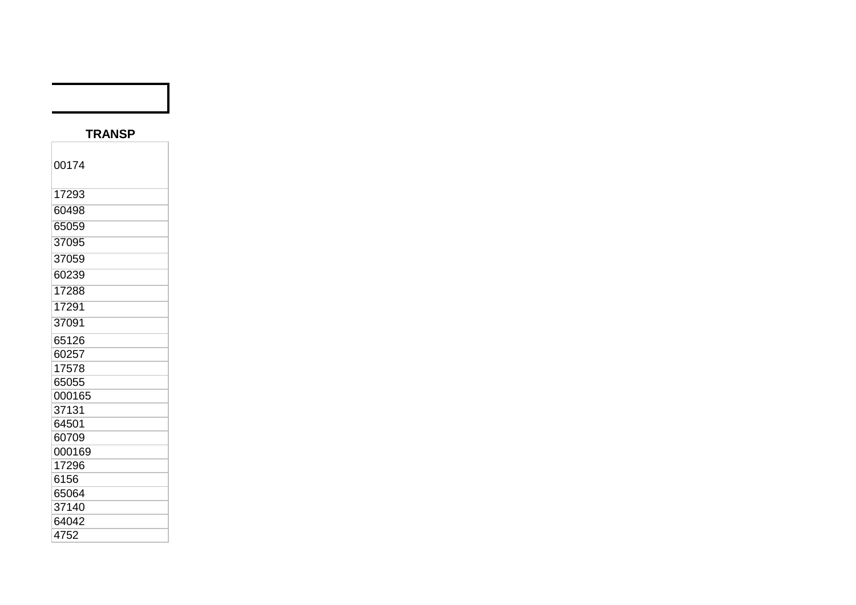## **TRANSP**

| 00174  |  |
|--------|--|
| 17293  |  |
| 60498  |  |
| 65059  |  |
| 37095  |  |
| 37059  |  |
| 60239  |  |
| 17288  |  |
| 17291  |  |
| 37091  |  |
| 65126  |  |
| 60257  |  |
| 17578  |  |
| 65055  |  |
| 000165 |  |
| 37131  |  |
| 64501  |  |
| 60709  |  |
| 000169 |  |
| 17296  |  |
| 6156   |  |
| 65064  |  |
| 37140  |  |
| 64042  |  |
| 4752   |  |